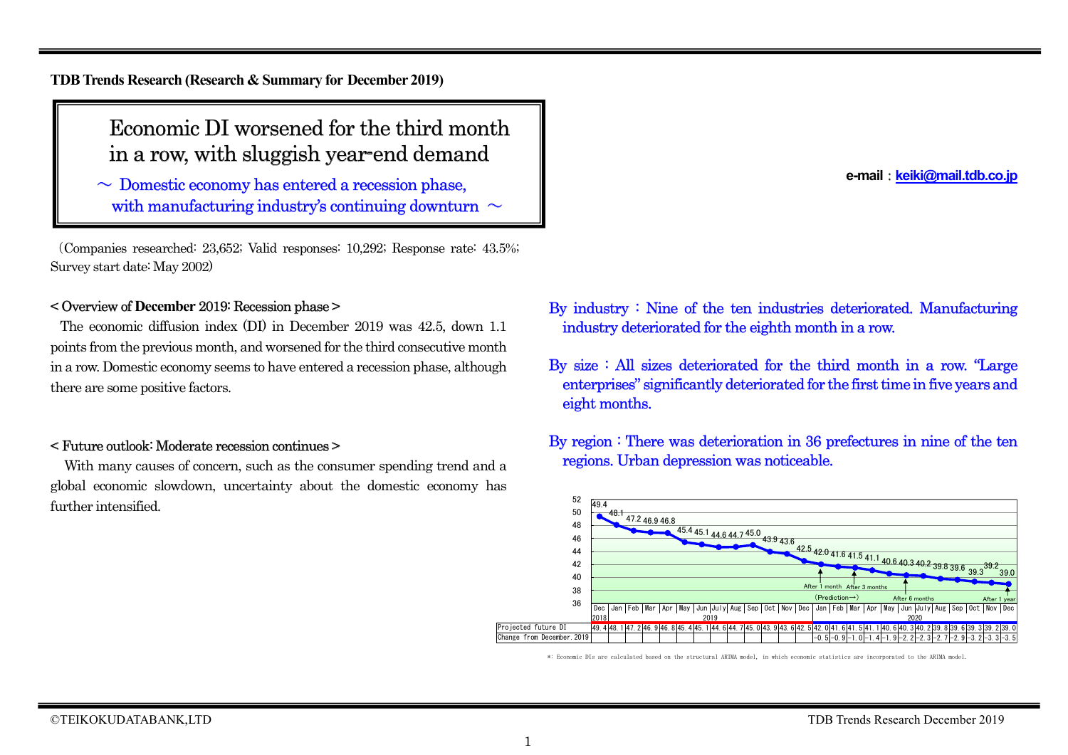**TDB Trends Research (Research & Summary for December 2019)**

# Economic DI worsened for the third month in a row, with sluggish year-end demand

 $\sim$  Domestic economy has entered a recession phase, with manufacturing industry's continuing downturn  $\sim$ 

(Companies researched: 23,652; Valid responses: 10,292; Response rate: 43.5%; Survey start date: May 2002)

## < Overview of **December** 2019: Recession phase >

The economic diffusion index (DI) in December 2019 was 42.5, down 1.1 points from the previous month, and worsened for the third consecutive month in a row. Domestic economy seems to have entered a recession phase, although there are some positive factors.

### < Future outlook: Moderate recession continues >

With many causes of concern, such as the consumer spending trend and a global economic slowdown, uncertainty about the domestic economy has further intensified.

**e-mail**:**keiki@mail.tdb.co.jp**

- By industry : Nine of the ten industries deteriorated. Manufacturing industry deteriorated for the eighth month in a row.
- By size : All sizes deteriorated for the third month in a row. "Large enterprises" significantly deteriorated for the first time in five years and eight months.
- By region : There was deterioration in 36 prefectures in nine of the ten regions. Urban depression was noticeable.



\*: Economic DIs are calculated based on the structural ARIMA model, in which economic statistics are incorporated to the ARIMA model.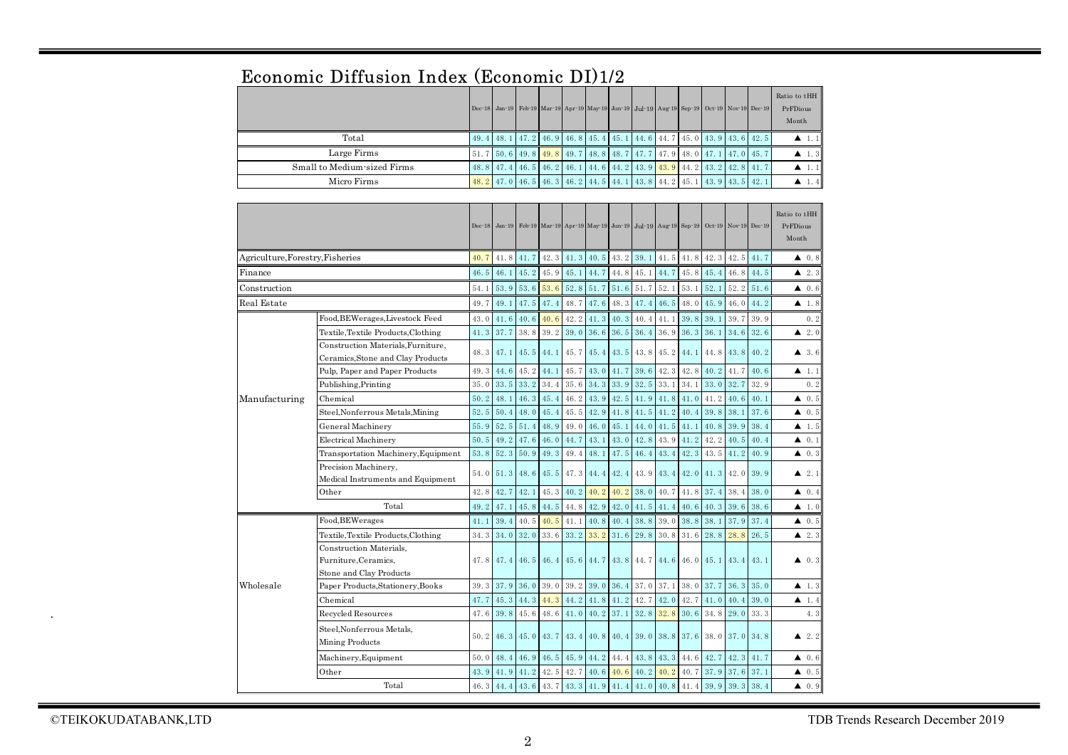|                                  | <b>ECONOMIC DIHUSION INGEX (ECONOMIC DIJIZ</b>                             |      |                                                                                            |      |      |      |           |                                           |      |      |      |      |                                                                              |      |                                   |
|----------------------------------|----------------------------------------------------------------------------|------|--------------------------------------------------------------------------------------------|------|------|------|-----------|-------------------------------------------|------|------|------|------|------------------------------------------------------------------------------|------|-----------------------------------|
|                                  |                                                                            |      | Dec-18 Jan-19 Feb-19 Mar-19 Apr-19 May-19 Jun-19 Jul-19 Aug-19 Sep-19 Oct-19 Nov-19 Dec-19 |      |      |      |           |                                           |      |      |      |      |                                                                              |      | Ratio to tHH<br>PrFDious<br>Month |
|                                  | Total                                                                      | 49.4 | 48.1                                                                                       | 47.2 | 46.9 | 46.8 | 45.4      | 45.1                                      | 44.6 | 44.7 | 45.0 | 43.9 | 43.6                                                                         | 42.5 | $\blacktriangle$ 1.1              |
|                                  | Large Firms                                                                | 51.7 | 50.6                                                                                       | 49.8 | 49.8 | 49.7 | 48.8      | 48.7                                      | 47.7 | 47.9 | 48.0 | 47.1 | 47.0                                                                         | 45.7 | $\blacktriangle$ 1.3              |
|                                  | Small to Medium-sized Firms                                                | 48.8 | 47.4                                                                                       | 46.5 | 46.2 | 46.1 | 44.6      | 44.2                                      | 43.9 | 43.9 | 44.2 | 43.2 | 42.8                                                                         | 41.7 | $\blacktriangle$ 1.1              |
|                                  | Micro Firms                                                                | 48.2 | 47.0                                                                                       | 46.5 | 46.3 | 46.2 | 44.5      | 44.1                                      | 43.8 | 44.2 | 45.1 | 43.9 | 43.5                                                                         | 42.1 | $\blacktriangle$ 1.4              |
|                                  |                                                                            |      |                                                                                            |      |      |      |           |                                           |      |      |      |      |                                                                              |      |                                   |
|                                  |                                                                            |      | Dec-18 Jan-19                                                                              |      |      |      |           |                                           |      |      |      |      | Feb 19 Mar 19 Apr 19 May 19 Jun 19 Jul 19 Aug 19 Sep 19 Oct 19 Nov 19 Dec 19 |      | Ratio to tHH<br>PrFDious<br>Month |
| Agriculture, Forestry, Fisheries |                                                                            | 40.7 | 41.8                                                                                       | 41.7 | 42.3 | 41.3 | 40.5      | 43.2                                      | 39.1 | 41.5 | 41.8 | 42.3 | 42.5                                                                         | 41.7 | $\blacktriangle$ 0.8              |
| Finance                          |                                                                            | 46.5 | 46.1                                                                                       | 45.2 | 45.9 | 45.1 | 44.7      | 44.8                                      | 45.1 | 44.7 | 45.8 | 45.4 | 46.8                                                                         | 44.5 | $\blacktriangle$ 2.3              |
| $\text{Construction}$            |                                                                            | 54.1 | 53.9                                                                                       | 53.6 | 53.6 | 52.8 | 51.7      | 51.6                                      | 51.7 | 52.1 | 53.1 | 52.1 | 52.2                                                                         | 51.6 | $\blacktriangle$ 0.6              |
| Real Estate                      |                                                                            | 49.7 | 49.1                                                                                       | 47.5 | 47.4 | 48.7 | 47.6      | 48.3                                      | 47.4 | 46.5 | 48.0 | 45.9 | 46.0                                                                         | 44.2 | $\blacktriangle$ 1.8              |
|                                  | Food, BEWerages, Livestock Feed                                            | 43.0 | 41.6                                                                                       | 40.6 | 40.6 | 42.2 | 41.3      | 40.3                                      | 40.4 | 41.1 | 39.8 | 39.1 | 39.7                                                                         | 39.9 | 0.2                               |
|                                  | Textile, Textile Products, Clothing                                        | 41.3 | 37.7                                                                                       | 38.8 | 39.2 | 39.0 | 36.6      | 36.5                                      | 36.4 | 36.9 | 36.3 | 36.1 | 34.6                                                                         | 32.6 | $\blacktriangle$ 2.0              |
|                                  | Construction Materials, Furniture,                                         |      |                                                                                            |      |      |      |           |                                           |      |      |      |      |                                                                              |      |                                   |
|                                  | Ceramics, Stone and Clay Products                                          | 48.3 | 47.1                                                                                       | 45.5 | 44.1 | 45.7 | 45.4      | 43.5                                      | 43.8 | 45.2 | 44.1 | 44.8 | 43.8                                                                         | 40.2 | 43.6                              |
|                                  | Pulp, Paper and Paper Products                                             | 49.3 | 44.6                                                                                       | 45.2 | 44.1 | 45.7 | 43.0      | 41.7                                      | 39.6 | 42.3 | 42.8 | 40.2 | 41.7                                                                         | 40.6 | ▲<br>1.1                          |
|                                  | Publishing, Printing                                                       | 35.0 | 33.5                                                                                       | 33.2 | 34.4 | 35.6 | 34.3      | 33.9                                      | 32.5 | 33.1 | 34.1 | 33.0 | 32.7                                                                         | 32.9 | 0.2                               |
| Manufacturing                    | Chemical                                                                   | 50.2 | 48.1                                                                                       | 46.3 | 45.4 | 46.2 | 43.9      | 42.5                                      | 41.9 | 41.8 | 41.0 | 41.2 | 40.6                                                                         | 40.1 | 0.5<br>▲                          |
|                                  | Steel, Nonferrous Metals, Mining                                           | 52.5 | 50.4                                                                                       | 48.0 | 45.4 | 45.5 | 42.9      | 41.8                                      | 41.5 | 41.2 | 40.4 | 39.8 | 38.1                                                                         | 37.6 | 0.5<br>▲                          |
|                                  | General Machinery                                                          | 55.9 | 52.5                                                                                       | 51.4 | 48.9 | 49.0 | 46.0      | 45.1                                      | 44.0 | 41.5 | 41.1 | 40.8 | 39.9                                                                         | 38.4 | $\blacktriangle$ 1.5              |
|                                  | <b>Electrical Machinery</b>                                                | 50.5 | 49.2                                                                                       | 47.6 | 46.0 | 44.7 | 43.1      | 43.0                                      | 42.8 | 43.9 | 41.2 | 42.2 | 40.5                                                                         | 40.4 | 0.1<br>▲                          |
|                                  | Transportation Machinery, Equipment                                        | 53.8 | 52.3                                                                                       | 50.9 | 49.3 | 49.4 | 48.1      | 47.5                                      | 46.4 | 43.4 | 42.3 | 43.5 | 41.2                                                                         | 40.9 | 40.3                              |
|                                  | Precision Machinery,<br>Medical Instruments and Equipment                  | 54.0 | 51.3                                                                                       | 48.6 | 45.5 | 47.3 | 44.4      | 42.4                                      | 43.9 | 43.4 | 42.0 | 41.3 | 42.0                                                                         | 39.9 | $\blacktriangle$ 2.1              |
|                                  | Other                                                                      | 42.8 | 42.7                                                                                       | 42.1 | 45.3 | 40.2 | 40.2      | 40.2                                      | 38.0 | 40.7 | 41.8 | 37.4 | 38.4                                                                         | 38.0 | $\triangle$ 0.4                   |
|                                  | Total                                                                      | 49.2 | 47.1                                                                                       | 45.8 | 44.5 | 44.8 | 42.9      | 42.0                                      | 41.5 | 41.4 | 40.6 | 40.3 | 39.6                                                                         | 38.6 | $\blacktriangle$ 1.0              |
|                                  | Food, BEWerages                                                            | 41.1 | 39.4                                                                                       | 40.5 | 40.5 | 41.1 | 40.8      | 40.4                                      | 38.8 | 39.0 | 38.8 | 38.1 | 37.9                                                                         | 37.4 | 40.5                              |
|                                  | Textile, Textile Products, Clothing                                        | 34.3 | 34.0                                                                                       | 32.0 | 33.6 | 33.2 | 33.2      | 31.6                                      | 29.8 | 30.8 | 31.6 | 28.8 | 28.8                                                                         | 26.5 | $\blacktriangle$ 2.3              |
|                                  | Construction Materials,<br>Furniture, Ceramics,<br>Stone and Clay Products | 47.8 | 47.4                                                                                       | 46.5 | 46.4 |      | 45.6 44.7 | 43.8                                      | 44.7 | 44.6 | 46.0 | 45.1 | 43.4                                                                         | 43.1 | $\blacktriangle$ 0.3              |
| Wholesale                        | Paper Products, Stationery, Books                                          | 39.3 | 37.9                                                                                       | 36.0 | 39.0 | 39.2 | 39.0      | 36.4                                      | 37.0 | 37.1 | 38.0 | 37.7 | 36.3                                                                         | 35.0 | $\blacktriangle$ 1.3              |
|                                  | Chemical                                                                   | 47.7 | 45.3                                                                                       | 44.3 | 44.3 | 44.2 | 41.8      | 41.2                                      | 42.7 | 42.0 | 42.7 | 41.0 | 40.4                                                                         | 39.0 | 1.4<br>▲                          |
|                                  | Recycled Resources                                                         | 47.6 | 39.8                                                                                       | 45.6 | 48.6 | 41.0 | 40.2      | 37.1                                      | 32.8 | 32.8 | 30.6 | 34.8 | 29.0                                                                         | 33.3 | 4.3                               |
|                                  | Steel, Nonferrous Metals,<br>Mining Products                               | 50.2 | 46.3                                                                                       | 45.0 | 43.7 | 43.4 |           | $40.8$ 40.4                               | 39.0 | 38.8 | 37.6 | 38.0 | 37.0                                                                         | 34.8 | $\blacktriangle$ 2.2              |
|                                  | Machinery, Equipment                                                       | 50.0 | 48.4                                                                                       | 46.9 | 46.5 | 45.9 | 44.2      | 44.4                                      | 43.8 | 43.3 | 44.6 | 42.7 | 42.3                                                                         | 41.7 | 0.6<br>▲                          |
|                                  | Other                                                                      | 43.9 | 41.9                                                                                       | 41.2 | 42.5 | 42.7 | 40.6      | 40.6                                      | 40.2 | 40.2 | 40.7 | 37.9 | 37.6                                                                         | 37.1 | $\blacktriangle$ 0.5              |
|                                  | Total                                                                      |      | $46.3$ 44.4                                                                                | 43.6 |      |      |           | 43. 7 43. 3 41. 9 41. 4 41. 0 40. 8 41. 4 |      |      |      | 39.9 | 39.3                                                                         | 38.4 | 0.9<br>▲                          |

## Economic Diffusion Index (Economic DI)1/2

.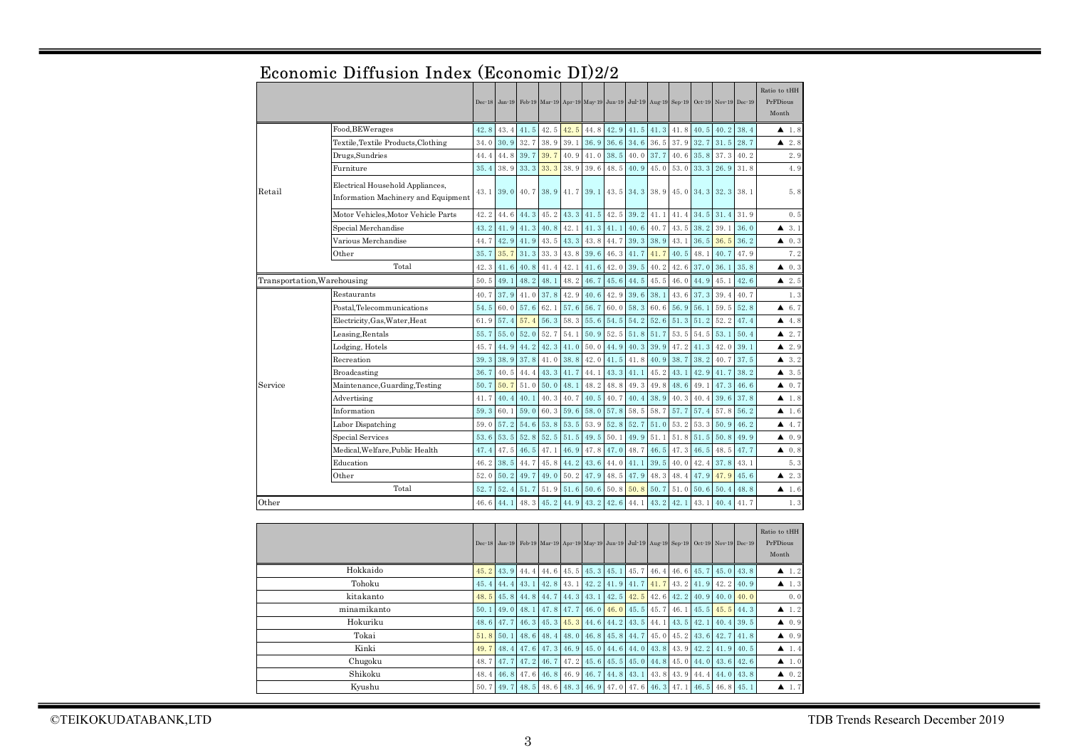|                             |                                                                         | $Dec-18$ |      |           |      |      |      |      |      |           | Jan 19 Feb 19 Mar 19 Apr 19 May 19 Jun 19 Jul 19 Aug 19 Sep 19 Oct 19 Nov 19 Dec 19 |      |             |      | Ratio to tHH<br>PrFDious<br>Month |
|-----------------------------|-------------------------------------------------------------------------|----------|------|-----------|------|------|------|------|------|-----------|-------------------------------------------------------------------------------------|------|-------------|------|-----------------------------------|
|                             | Food, BEWerages                                                         | 42.8     | 43.4 | 41.5      | 42.5 | 42.5 | 44.8 | 42.9 |      | 41.5 41.3 | 41.8                                                                                | 40.5 | 40.2        | 38.4 | $\blacktriangle$ 1.8              |
|                             | Textile, Textile Products, Clothing                                     | 34.0     | 30.9 | 32.7      | 38.9 | 39.1 | 36.9 | 36.6 | 34.6 | 36.5      | 37.9                                                                                | 32.7 | 31.5        | 28.7 | $\blacktriangle$ 2.8              |
|                             | Drugs, Sundries                                                         | 44.4     | 44.8 | 39.7      | 39.7 | 40.9 | 41.0 | 38.5 | 40.0 | 37.7      | 40.6                                                                                | 35.8 | 37.3        | 40.2 | 2.9                               |
|                             | Furniture                                                               | 35.4     | 38.9 | 33.3      | 33.3 | 38.9 | 39.6 | 48.5 | 40.9 | 45.0      | 53.0                                                                                | 33.3 | 26.9        | 31.8 | 4.9                               |
| Retail                      | Electrical Household Appliances,<br>Information Machinery and Equipment | 43.1     |      | 39.0 40.7 |      |      |      |      |      |           | 38.9 41.7 39.1 43.5 34.3 38.9 45.0 34.3                                             |      | $32.3$ 38.1 |      | 5.8                               |
|                             | Motor Vehicles.Motor Vehicle Parts                                      | 42.2     | 44.6 | 44.3      | 45.2 | 43.3 | 41.5 | 42.5 | 39.2 | 41.1      | 41.4                                                                                | 34.5 | 31.4        | 31.9 | 0.5                               |
|                             | Special Merchandise                                                     | 43.2     | 41.9 | 41.3      | 40.8 | 42.1 | 41.3 | 41.1 | 40.6 | 40.7      | 43.5                                                                                | 38.2 | 39.1        | 36.0 | $\triangle$ 3.1                   |
|                             | Various Merchandise                                                     | 44.7     | 42.9 | 41.9      | 43.5 | 43.3 | 43.8 | 44.7 | 39.3 | 38.9      | 43.1                                                                                | 36.5 | 36.5        | 36.2 | $\triangle$ 0.3                   |
|                             | Other                                                                   | 35.7     | 35.7 | 31.3      | 33.3 | 43.8 | 39.6 | 46.3 | 41.7 | 41.7      | 40.5                                                                                | 48.1 | 40.7        | 47.9 | 7.2                               |
|                             | Total                                                                   | 42.3     | 41.6 | 40.8      | 41.4 | 42.1 | 41.6 | 42.0 | 39.5 | 40.2      | 42.6                                                                                | 37.0 | 36.1        | 35.8 | 0.3<br>▲                          |
| Transportation, Warehousing |                                                                         | 50.5     | 49.1 | 48.2      | 48.1 | 48.2 | 46.7 | 45.6 | 44.5 | 45.5      | 46.0                                                                                | 44.9 | 45.1        | 42.6 | 2.5                               |
|                             | Restaurants                                                             | 40.7     | 37.9 | 41.0      | 37.8 | 42.9 | 40.6 | 42.9 | 39.6 | 38.1      | 43.6                                                                                | 37.3 | 39.4        | 40.7 | 1.3                               |
|                             | Postal.Telecommunications                                               | 54.5     | 60.0 | 57.6      | 62.1 | 57.6 | 56.7 | 60.0 | 58.3 | 60.6      | 56.9                                                                                | 56.1 | 59.5        | 52.8 | 46.7                              |
|                             | Electricity, Gas, Water, Heat                                           | 61.9     | 57.4 | 57.4      | 56.3 | 58.3 | 55.6 | 54.5 | 54.2 | 52.6      | 51.3                                                                                | 51.2 | 52.2        | 47.4 | 4.8                               |
|                             | Leasing, Rentals                                                        | 55.7     | 55.0 | 52.0      | 52.7 | 54.1 | 50.9 | 52.5 | 51.8 | 51.7      | 53.5                                                                                | 54.5 | 53.1        | 50.4 | $\blacktriangle$ 2.7              |
|                             | Lodging, Hotels                                                         | 45.7     | 44.9 | 44.2      | 42.3 | 41.0 | 50.0 | 44.9 | 40.3 | 39.9      | 47.2                                                                                | 41.3 | 42.0        | 39.1 | $\blacktriangle$ 2.9              |
|                             | Recreation                                                              | 39.3     | 38.9 | 37.8      | 41.0 | 38.8 | 42.0 | 41.5 | 41.8 | 40.9      | 38.7                                                                                | 38.2 | 40.7        | 37.5 | 43.2                              |
|                             | Broadcasting                                                            | 36.7     | 40.5 | 44.4      | 43.3 | 41.7 | 44.1 | 43.3 | 41.1 | 45.2      | 43.1                                                                                | 42.9 | 41.7        | 38.2 | 43.5                              |
| Service                     | Maintenance, Guarding, Testing                                          | 50.7     | 50.7 | 51.0      | 50.0 | 48.1 | 48.2 | 48.8 | 49.3 | 49.8      | 48.6                                                                                | 49.1 | 47.3        | 46.6 | $\blacktriangle$ 0.7              |
|                             | Advertising                                                             | 41.7     | 40.4 | 40.1      | 40.3 | 40.7 | 40.5 | 40.7 | 40.4 | 38.9      | 40.3                                                                                | 40.4 | 39.6        | 37.8 | $\blacktriangle$ 1.8              |
|                             | Information                                                             | 59.3     | 60.1 | 59.0      | 60.3 | 59.6 | 58.0 | 57.8 | 58.5 | 58.7      | 57.7                                                                                | 57.4 | 57.8        | 56.2 | $\blacktriangle$ 1.6              |
|                             | Labor Dispatching                                                       | 59.0     | 57.2 | 54.6      | 53.8 | 53.5 | 53.9 | 52.8 | 52.7 | 51.0      | 53.2                                                                                | 53.3 | 50.9        | 46.2 | 4.7                               |
|                             | Special Services                                                        | 53.6     | 53.5 | 52.8      | 52.5 | 51.5 | 49.5 | 50.1 | 49.9 | 51.1      | 51.8                                                                                | 51.5 | 50.8        | 49.9 | $\triangle$ 0.9                   |
|                             | Medical.Welfare.Public Health                                           | 47.4     | 47.5 | 46.5      | 47.1 | 46.9 | 47.8 | 47.0 | 48.7 | 46.5      | 47.3                                                                                | 46.5 | 48.5        | 47.7 | $\triangle$ 0.8                   |
|                             | Education                                                               | 46.2     | 38.5 | 44.7      | 45.8 | 44.2 | 43.6 | 44.0 | 41.1 | 39.5      | 40.0                                                                                | 42.4 | 37.8        | 43.1 | 5.3                               |
|                             | Other                                                                   | 52.0     | 50.2 | 49.7      | 49.0 | 50.2 | 47.9 | 48.5 | 47.9 | 48.3      | 48.4                                                                                | 47.9 | 47.9        | 45.6 | 2.3<br>▲                          |
|                             | Total                                                                   | 52.7     | 52.4 | 51.7      | 51.9 | 51.6 | 50.6 | 50.8 | 50.8 | 50.7      | 51.0                                                                                | 50.6 | 50.4        | 48.8 | $\blacktriangle$ 1.6              |
| Other                       |                                                                         | 46.6     | 44.1 | 48.3      | 45.2 | 44.9 | 43.2 | 42.6 | 44.1 | 43.2      | 42.1                                                                                | 43.1 | 40.4        | 41.7 | 1.3                               |
|                             |                                                                         |          |      |           |      |      |      |      |      |           |                                                                                     |      |             |      | Ratio to tHH                      |

# Economic Diffusion Index (Economic DI)2/2

|             |  |  |  | Dec 18 Jan 19 Feb 19 Mar 19 Apr 19 May 19 Jun 19 Jul 19 Aug 19 Sep 19 Oct 19 Nov 19 Dec 19            |  |  |  | Ratio to tHH<br>PrFDious<br>Month |
|-------------|--|--|--|-------------------------------------------------------------------------------------------------------|--|--|--|-----------------------------------|
| Hokkaido    |  |  |  | 45. 2 43. 9 44. 4 44. 6 45. 5 45. 3 45. 1 45. 7 46. 4 46. 6 45. 7 45. 0 43. 8                         |  |  |  | $\blacktriangle$ 1.2              |
| Tohoku      |  |  |  | 45. 4 44. 4 43. 1 42. 8 43. 1 42. 2 41. 9 41. 7 41. 7 43. 2 41. 9 42. 2 40. 9                         |  |  |  | $\blacktriangle$ 1.3              |
| kitakanto   |  |  |  | 48.5 45.8 44.8 44.7 44.3 43.1 42.5 42.5 42.6 42.2 40.9 40.0 40.0                                      |  |  |  | 0.0                               |
| minamikanto |  |  |  | 50. 1 49. 0 48. 1 47. 8 47. 7 46. 0 46. 0 45. 5 45. 7 46. 1 45. 5 45. 5 44. 3                         |  |  |  | $\blacktriangle$ 1.2              |
| Hokuriku    |  |  |  | 48. 6 47. 7 46. 3 45. 3 45. 3 44. 6 44. 2 43. 5 44. 1 43. 5 42. 1 40. 4 39. 5                         |  |  |  | $\triangle$ 0.9                   |
| Tokai       |  |  |  | $\overline{51, 8}$ 50, 1 48, 6 48, 4 48, 0 46, 8 45, 8 44, 7 45, 0 45, 2 43, 6 42, 7 41, 8            |  |  |  | $\triangle$ 0.9                   |
| Kinki       |  |  |  | 49. 7 48. 4 47. 6 47. 3 46. 9 45. 0 44. 6 44. 0 43. 8 43. 9 42. 2 41. 9 40. 5                         |  |  |  | $\blacktriangle$ 1.4              |
| Chugoku     |  |  |  | 48. 7 47. 7 47. 2 46. 7 47. 2 45. 6 45. 5 45. 0 44. 8 45. 0 44. 0 43. 6 42. 6                         |  |  |  | $\blacktriangle$ 1.0              |
| Shikoku     |  |  |  | 48. 4   46. 8   47. 6   46. 8   46. 9   46. 7   44. 8   43. 1   43. 8   43. 9   44. 4   44. 0   43. 8 |  |  |  | $\blacktriangle$ 0.2              |
| Kyushu      |  |  |  | 50. 7 49. 7 48. 5 48. 6 48. 3 46. 9 47. 0 47. 6 46. 3 47. 1 46. 5 46. 8 45. 1                         |  |  |  | $\blacktriangle$ 1.7              |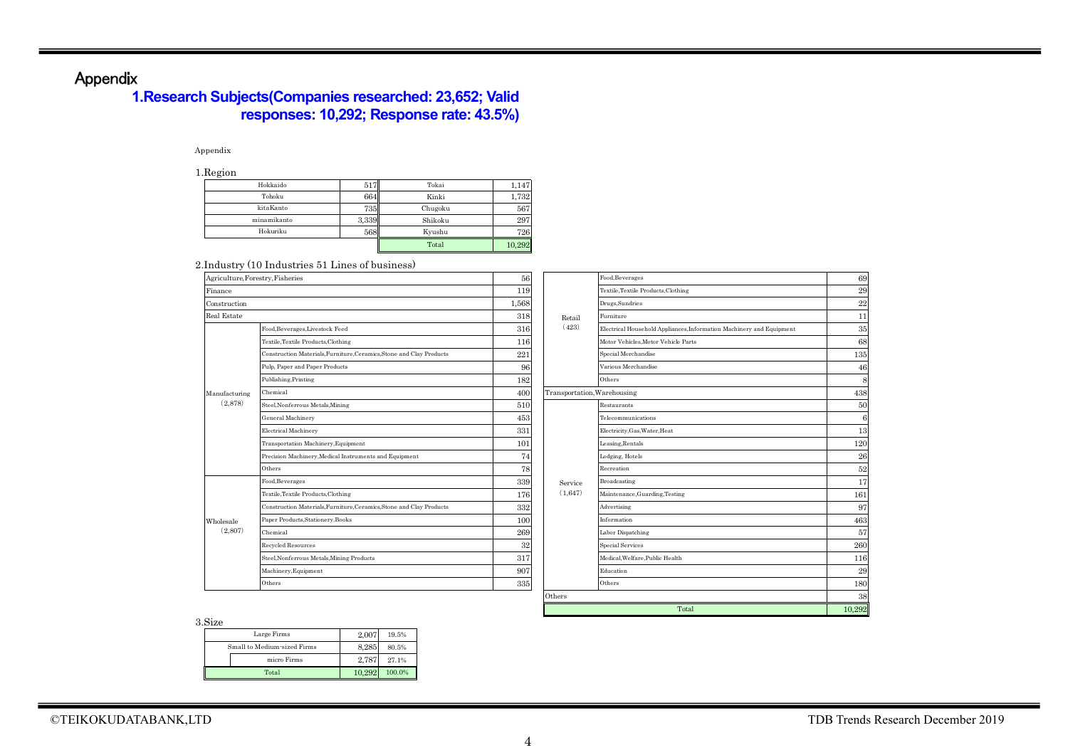## Appendix

## **1.Research Subjects(Companies researched: 23,652; Valid responses: 10,292; Response rate: 43.5%)**

### Appendix

1.Region

| --------    |       |         |        |
|-------------|-------|---------|--------|
| Hokkaido    | -517  | Tokai   | 1.147  |
| Tohoku      | 664   | Kinki   | 1,732  |
| kitaKanto   | 735   | Chugoku | 567    |
| minamikanto | 3,339 | Shikoku | 297    |
| Hokuriku    | 568   | Kyushu  | 726    |
|             |       | Total   | 10,292 |

### 2.Industry (10 Industries 51 Lines of business)

| Agriculture, Forestry, Fisheries |                                                                      | 56     |                             | Food, Beverages                                                      | 69         |
|----------------------------------|----------------------------------------------------------------------|--------|-----------------------------|----------------------------------------------------------------------|------------|
| Finance                          |                                                                      | 119    |                             | Textile, Textile Products, Clothing                                  | 29         |
| Construction                     |                                                                      | 1,568  |                             | Drugs, Sundries                                                      | 22         |
| <b>Real Estate</b>               |                                                                      | 318    | Retail                      | Furniture                                                            | 11         |
|                                  | Food, Beverages, Livestock Feed                                      | 316    | (423)                       | Electrical Household Appliances, Information Machinery and Equipment | 35         |
|                                  | Textile, Textile Products, Clothing                                  | 116    |                             | Motor Vehicles, Motor Vehicle Parts                                  | 68         |
|                                  | Construction Materials, Furniture, Ceramics, Stone and Clay Products | 221    |                             | Special Merchandise                                                  | 135        |
|                                  | Pulp, Paper and Paper Products                                       | 96     |                             | Various Merchandise                                                  | 46         |
|                                  | Publishing, Printing                                                 | 182    |                             | Others                                                               | ε          |
| Manufacturing                    | Chemical                                                             | 400    | Transportation, Warehousing |                                                                      | 438        |
| (2,878)                          | Steel, Nonferrous Metals, Mining                                     | 510    |                             | Restaurants                                                          | 50         |
|                                  | General Machinery                                                    | 453    |                             | Telecommunications                                                   | $\epsilon$ |
|                                  | Electrical Machinery                                                 | 331    |                             | Electricity, Gas, Water, Heat                                        | 13         |
|                                  | Transportation Machinery, Equipment                                  | 101    |                             | Leasing, Rentals                                                     | 120        |
|                                  | Precision Machinery, Medical Instruments and Equipment               | 74     |                             | Lodging, Hotels                                                      | 26         |
|                                  | Others                                                               | 78     |                             | Recreation                                                           | 52         |
|                                  | Food, Beverages                                                      | 339    | Service                     | Broadcasting                                                         | 17         |
|                                  | Textile, Textile Products, Clothing                                  | 176    | (1,647)                     | Maintenance, Guarding, Testing                                       | 161        |
|                                  | Construction Materials, Furniture, Ceramics, Stone and Clay Products | 332    |                             | Advertising                                                          | 97         |
| Wholesale                        | Paper Products, Stationery, Books                                    | 100    |                             | Information                                                          | 46%        |
| (2,807)                          | Chemical                                                             | 269    |                             | Labor Dispatching                                                    | 57         |
|                                  | Recycled Resources                                                   | $32\,$ |                             | Special Services                                                     | 260        |
|                                  | Steel, Nonferrous Metals, Mining Products                            | 317    |                             | Medical, Welfare, Public Health                                      | 116        |
|                                  | Machinery, Equipment                                                 | 907    |                             | Education                                                            | 29         |
|                                  | Others                                                               | 335    |                             | Others                                                               | 180        |
|                                  |                                                                      |        | Others                      |                                                                      | 38         |
|                                  |                                                                      |        |                             | Total                                                                | 10,292     |

3.Size

| .                           |        |        |
|-----------------------------|--------|--------|
| Large Firms                 | 2.007  | 19.5%  |
| Small to Medium-sized Firms | 8.285  | 80.5%  |
| micro Firms                 | 2.787  | 27.1%  |
| Total                       | 10.292 | 100.0% |

120  $\frac{12}{26}$ 

 $\begin{array}{r} 52 \\ 17 \end{array}$ 

161

 $\frac{463}{57}$ 

116 29

180

10,292

11

69

29 22